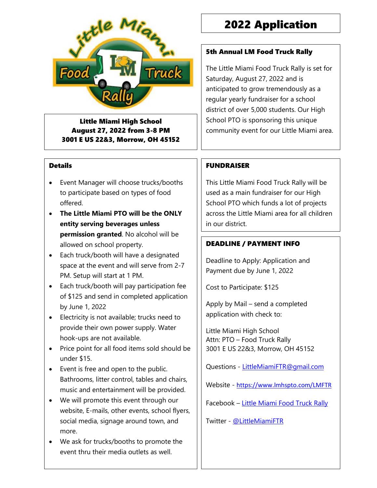

Little Miami High School August 27, 2022 from 3-8 PM 3001 E US 22&3, Morrow, OH 45152

#### **Details**

- Event Manager will choose trucks/booths to participate based on types of food offered.
- **The Little Miami PTO will be the ONLY entity serving beverages unless permission granted**. No alcohol will be allowed on school property.
- Each truck/booth will have a designated space at the event and will serve from 2-7 PM. Setup will start at 1 PM.
- Each truck/booth will pay participation fee of \$125 and send in completed application by June 1, 2022
- Electricity is not available; trucks need to provide their own power supply. Water hook-ups are not available.
- Price point for all food items sold should be under \$15.
- Event is free and open to the public. Bathrooms, litter control, tables and chairs, music and entertainment will be provided.
- We will promote this event through our website, E-mails, other events, school flyers, social media, signage around town, and more.
- We ask for trucks/booths to promote the event thru their media outlets as well.

## 2022 Application

#### 5th Annual LM Food Truck Rally

The Little Miami Food Truck Rally is set for Saturday, August 27, 2022 and is anticipated to grow tremendously as a regular yearly fundraiser for a school district of over 5,000 students. Our High School PTO is sponsoring this unique community event for our Little Miami area.

#### FUNDRAISER

This Little Miami Food Truck Rally will be used as a main fundraiser for our High School PTO which funds a lot of projects across the Little Miami area for all children in our district.

#### DEADLINE / PAYMENT INFO

Deadline to Apply: Application and Payment due by June 1, 2022

Cost to Participate: \$125

Apply by Mail – send a completed application with check to:

Little Miami High School Attn: PTO – Food Truck Rally 3001 E US 22&3, Morrow, OH 45152

Questions - [LittleMiamiFTR@gmail.com](mailto:LittleMiamiFTR@gmail.com?subject=Food%20Truck%20Info)

Website - <https://www.lmhspto.com/LMFTR>

Facebook – [Little Miami Food Truck Rally](file:///C:/Cindy/schoollevy/Food%20Rally/facebook.com/LittleMiamiFTR)

Twitter - [@LittleMiamiFTR](file:///C:/Cindy/schoollevy/Food%20Rally/twitter.com/littlemiamiFTR)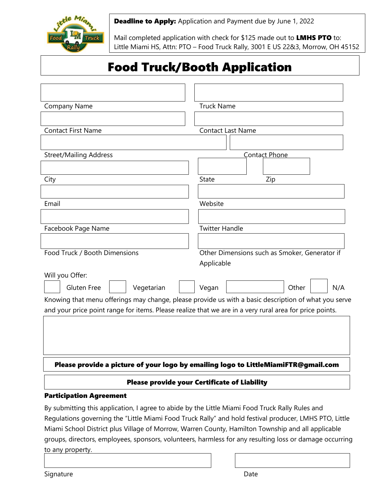

**Deadline to Apply:** Application and Payment due by June 1, 2022

Mail completed application with check for \$125 made out to LMHS PTO to: Little Miami HS, Attn: PTO – Food Truck Rally, 3001 E US 22&3, Morrow, OH 45152

# Food Truck/Booth Application

| Please provide a picture of your logo by emailing logo to LittleMiamiFTR@gmail.com<br><b>Please provide your Certificate of Liability</b><br><b>Participation Agreement</b> |                                                                                                                                                                                                                 |
|-----------------------------------------------------------------------------------------------------------------------------------------------------------------------------|-----------------------------------------------------------------------------------------------------------------------------------------------------------------------------------------------------------------|
|                                                                                                                                                                             |                                                                                                                                                                                                                 |
|                                                                                                                                                                             | Knowing that menu offerings may change, please provide us with a basic description of what you serve<br>and your price point range for items. Please realize that we are in a very rural area for price points. |
| Will you Offer:<br>Vegetarian<br><b>Gluten Free</b>                                                                                                                         | Vegan<br>Other<br>N/A                                                                                                                                                                                           |
|                                                                                                                                                                             | Applicable                                                                                                                                                                                                      |
| Food Truck / Booth Dimensions                                                                                                                                               | Other Dimensions such as Smoker, Generator if                                                                                                                                                                   |
| Facebook Page Name                                                                                                                                                          | <b>Twitter Handle</b>                                                                                                                                                                                           |
| Email                                                                                                                                                                       | Website                                                                                                                                                                                                         |
|                                                                                                                                                                             |                                                                                                                                                                                                                 |
| City                                                                                                                                                                        | <b>State</b><br>Zip                                                                                                                                                                                             |
| <b>Street/Mailing Address</b>                                                                                                                                               | Contact Phone                                                                                                                                                                                                   |
|                                                                                                                                                                             |                                                                                                                                                                                                                 |
| <b>Contact First Name</b>                                                                                                                                                   | <b>Contact Last Name</b>                                                                                                                                                                                        |
| Company Name                                                                                                                                                                | <b>Truck Name</b>                                                                                                                                                                                               |
|                                                                                                                                                                             |                                                                                                                                                                                                                 |

By submitting this application, I agree to abide by the Little Miami Food Truck Rally Rules and Regulations governing the "Little Miami Food Truck Rally" and hold festival producer, LMHS PTO, Little Miami School District plus Village of Morrow, Warren County, Hamilton Township and all applicable groups, directors, employees, sponsors, volunteers, harmless for any resulting loss or damage occurring to any property.